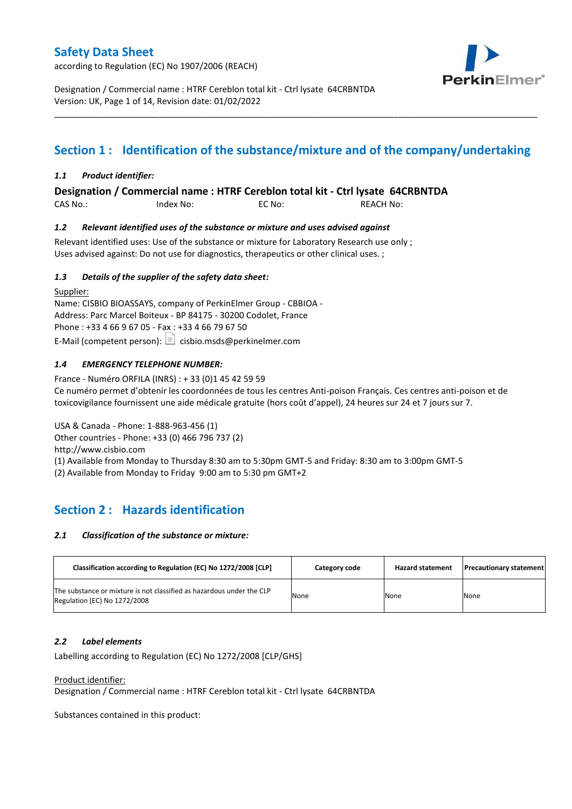according to Regulation (EC) No 1907/2006 (REACH)



Designation / Commercial name : HTRF Cereblon total kit - Ctrl lysate 64CRBNTDA Version: UK, Page 1 of 14, Revision date: 01/02/2022

# **Section 1 : Identification of the substance/mixture and of the company/undertaking**

\_\_\_\_\_\_\_\_\_\_\_\_\_\_\_\_\_\_\_\_\_\_\_\_\_\_\_\_\_\_\_\_\_\_\_\_\_\_\_\_\_\_\_\_\_\_\_\_\_\_\_\_\_\_\_\_\_\_\_\_\_\_\_\_\_\_\_\_\_\_\_\_\_\_\_\_\_\_\_\_\_\_\_\_\_\_\_\_\_\_\_\_\_\_\_\_\_\_\_\_\_

### *1.1 Product identifier:*

**Designation / Commercial name : HTRF Cereblon total kit - Ctrl lysate 64CRBNTDA** 

CAS No.: Index No: EC No: REACH No:

### *1.2 Relevant identified uses of the substance or mixture and uses advised against*

Relevant identified uses: Use of the substance or mixture for Laboratory Research use only ; Uses advised against: Do not use for diagnostics, therapeutics or other clinical uses. ;

### *1.3 Details of the supplier of the safety data sheet:*

Supplier: Name: CISBIO BIOASSAYS, company of PerkinElmer Group - CBBIOA - Address: Parc Marcel Boiteux - BP 84175 - 30200 Codolet, France Phone : +33 4 66 9 67 05 - Fax : +33 4 66 79 67 50 E-Mail (competent person):  $\boxed{\equiv}$  cisbio.msds@perkinelmer.com

### *1.4 EMERGENCY TELEPHONE NUMBER:*

France - Numéro ORFILA (INRS) : + 33 (0)1 45 42 59 59 Ce numéro permet d'obtenir les coordonnées de tous les centres Anti-poison Français. Ces centres anti-poison et de toxicovigilance fournissent une aide médicale gratuite (hors coût d'appel), 24 heures sur 24 et 7 jours sur 7.

USA & Canada - Phone: 1-888-963-456 (1) Other countries - Phone: +33 (0) 466 796 737 (2)

http://www.cisbio.com

(1) Available from Monday to Thursday 8:30 am to 5:30pm GMT-5 and Friday: 8:30 am to 3:00pm GMT-5

(2) Available from Monday to Friday 9:00 am to 5:30 pm GMT+2

## **Section 2 : Hazards identification**

#### *2.1 Classification of the substance or mixture:*

| Classification according to Regulation (EC) No 1272/2008 [CLP]                                        | Category code | <b>Hazard statement</b> | <b>Precautionary statement</b> |
|-------------------------------------------------------------------------------------------------------|---------------|-------------------------|--------------------------------|
| The substance or mixture is not classified as hazardous under the CLP<br>Regulation (EC) No 1272/2008 | None          | None                    | None                           |

#### *2.2 Label elements*

Labelling according to Regulation (EC) No 1272/2008 [CLP/GHS]

#### Product identifier:

Designation / Commercial name : HTRF Cereblon total kit - Ctrl lysate 64CRBNTDA

Substances contained in this product: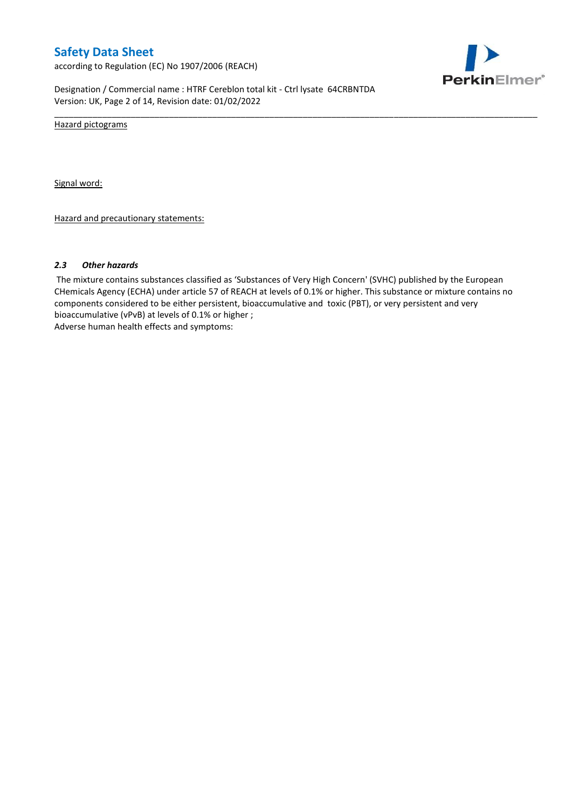according to Regulation (EC) No 1907/2006 (REACH)



Designation / Commercial name : HTRF Cereblon total kit - Ctrl lysate 64CRBNTDA Version: UK, Page 2 of 14, Revision date: 01/02/2022

Hazard pictograms

Signal word:

Hazard and precautionary statements:

#### *2.3 Other hazards*

The mixture contains substances classified as 'Substances of Very High Concern' (SVHC) published by the European CHemicals Agency (ECHA) under article 57 of REACH at levels of 0.1% or higher. This substance or mixture contains no components considered to be either persistent, bioaccumulative and toxic (PBT), or very persistent and very bioaccumulative (vPvB) at levels of 0.1% or higher ; Adverse human health effects and symptoms:

\_\_\_\_\_\_\_\_\_\_\_\_\_\_\_\_\_\_\_\_\_\_\_\_\_\_\_\_\_\_\_\_\_\_\_\_\_\_\_\_\_\_\_\_\_\_\_\_\_\_\_\_\_\_\_\_\_\_\_\_\_\_\_\_\_\_\_\_\_\_\_\_\_\_\_\_\_\_\_\_\_\_\_\_\_\_\_\_\_\_\_\_\_\_\_\_\_\_\_\_\_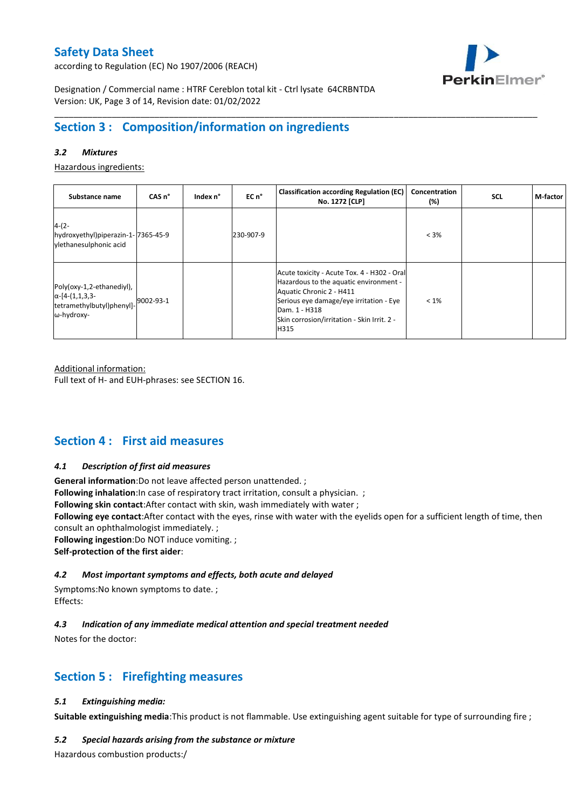according to Regulation (EC) No 1907/2006 (REACH)



Designation / Commercial name : HTRF Cereblon total kit - Ctrl lysate 64CRBNTDA Version: UK, Page 3 of 14, Revision date: 01/02/2022

# **Section 3 : Composition/information on ingredients**

### *3.2 Mixtures*

Hazardous ingredients:

| Substance name                                                                                 | CAS <sub>n</sub> ° | Index n° | EC n°     | <b>Classification according Regulation (EC)</b><br>No. 1272 [CLP]                                                                                                                                                                    | Concentration<br>(%) | <b>SCL</b> | M-factor |
|------------------------------------------------------------------------------------------------|--------------------|----------|-----------|--------------------------------------------------------------------------------------------------------------------------------------------------------------------------------------------------------------------------------------|----------------------|------------|----------|
| $4-(2-$<br>hydroxyethyl)piperazin-1-7365-45-9<br>vlethanesulphonic acid                        |                    |          | 230-907-9 |                                                                                                                                                                                                                                      | $< 3\%$              |            |          |
| Poly(oxy-1,2-ethanediyl),<br>$\alpha$ -[4-(1,1,3,3-<br>tetramethylbutyl)phenyl]-<br>ω-hydroxy- | 9002-93-1          |          |           | Acute toxicity - Acute Tox. 4 - H302 - Oral<br>Hazardous to the aquatic environment -<br>Aquatic Chronic 2 - H411<br>Serious eye damage/eye irritation - Eye<br>Dam. 1 - H318<br>Skin corrosion/irritation - Skin Irrit. 2 -<br>H315 | $< 1\%$              |            |          |

\_\_\_\_\_\_\_\_\_\_\_\_\_\_\_\_\_\_\_\_\_\_\_\_\_\_\_\_\_\_\_\_\_\_\_\_\_\_\_\_\_\_\_\_\_\_\_\_\_\_\_\_\_\_\_\_\_\_\_\_\_\_\_\_\_\_\_\_\_\_\_\_\_\_\_\_\_\_\_\_\_\_\_\_\_\_\_\_\_\_\_\_\_\_\_\_\_\_\_\_\_

Additional information:

Full text of H- and EUH-phrases: see SECTION 16.

## **Section 4 : First aid measures**

#### *4.1 Description of first aid measures*

**General information**:Do not leave affected person unattended. ;

**Following inhalation**: In case of respiratory tract irritation, consult a physician. ;

**Following skin contact**:After contact with skin, wash immediately with water ;

**Following eye contact**:After contact with the eyes, rinse with water with the eyelids open for a sufficient length of time, then consult an ophthalmologist immediately. ;

**Following ingestion**:Do NOT induce vomiting. ;

**Self-protection of the first aider**:

### *4.2 Most important symptoms and effects, both acute and delayed*

Symptoms:No known symptoms to date. ; Effects:

### *4.3 Indication of any immediate medical attention and special treatment needed*

Notes for the doctor:

## **Section 5 : Firefighting measures**

#### *5.1 Extinguishing media:*

**Suitable extinguishing media**:This product is not flammable. Use extinguishing agent suitable for type of surrounding fire ;

#### *5.2 Special hazards arising from the substance or mixture*

Hazardous combustion products:/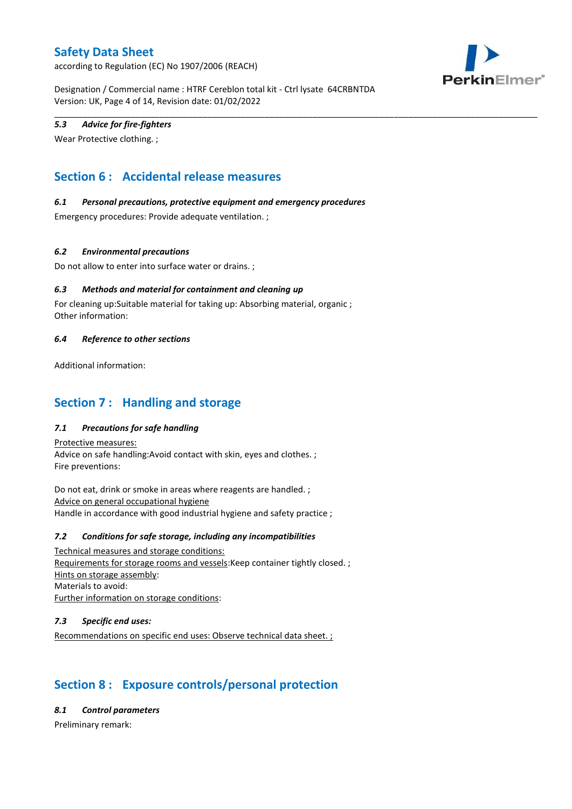according to Regulation (EC) No 1907/2006 (REACH)



Designation / Commercial name : HTRF Cereblon total kit - Ctrl lysate 64CRBNTDA Version: UK, Page 4 of 14, Revision date: 01/02/2022

\_\_\_\_\_\_\_\_\_\_\_\_\_\_\_\_\_\_\_\_\_\_\_\_\_\_\_\_\_\_\_\_\_\_\_\_\_\_\_\_\_\_\_\_\_\_\_\_\_\_\_\_\_\_\_\_\_\_\_\_\_\_\_\_\_\_\_\_\_\_\_\_\_\_\_\_\_\_\_\_\_\_\_\_\_\_\_\_\_\_\_\_\_\_\_\_\_\_\_\_\_

### *5.3 Advice for fire-fighters*

Wear Protective clothing. ;

# **Section 6 : Accidental release measures**

### *6.1 Personal precautions, protective equipment and emergency procedures*

Emergency procedures: Provide adequate ventilation. ;

### *6.2 Environmental precautions*

Do not allow to enter into surface water or drains. ;

### *6.3 Methods and material for containment and cleaning up*

For cleaning up:Suitable material for taking up: Absorbing material, organic ; Other information:

### *6.4 Reference to other sections*

Additional information:

## **Section 7 : Handling and storage**

### *7.1 Precautions for safe handling*

Protective measures: Advice on safe handling:Avoid contact with skin, eyes and clothes. ; Fire preventions:

Do not eat, drink or smoke in areas where reagents are handled. ; Advice on general occupational hygiene Handle in accordance with good industrial hygiene and safety practice ;

#### *7.2 Conditions for safe storage, including any incompatibilities*

Technical measures and storage conditions: Requirements for storage rooms and vessels:Keep container tightly closed. ; Hints on storage assembly: Materials to avoid: Further information on storage conditions:

#### *7.3 Specific end uses:*

Recommendations on specific end uses: Observe technical data sheet. ;

# **Section 8 : Exposure controls/personal protection**

*8.1 Control parameters*

Preliminary remark: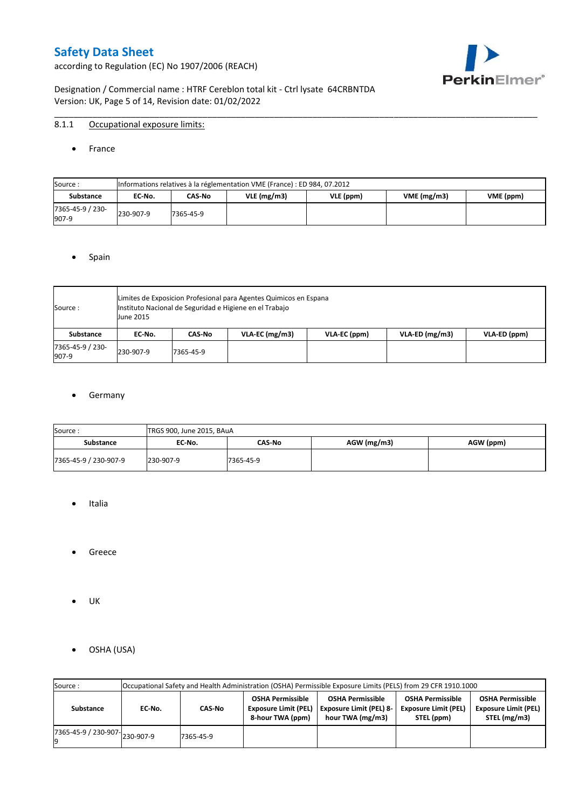according to Regulation (EC) No 1907/2006 (REACH)



Designation / Commercial name : HTRF Cereblon total kit - Ctrl lysate 64CRBNTDA Version: UK, Page 5 of 14, Revision date: 01/02/2022

### 8.1.1 Occupational exposure limits:

#### • France

| Source:                   |           | Informations relatives à la réglementation VME (France) : ED 984, 07.2012 |               |           |            |           |  |  |  |  |  |  |  |
|---------------------------|-----------|---------------------------------------------------------------------------|---------------|-----------|------------|-----------|--|--|--|--|--|--|--|
| <b>Substance</b>          | EC-No.    | CAS-No                                                                    | $VLE$ (mg/m3) | VLE (ppm) | VME(mg/m3) | VME (ppm) |  |  |  |  |  |  |  |
| 7365-45-9 / 230-<br>907-9 | 230-907-9 | 7365-45-9                                                                 |               |           |            |           |  |  |  |  |  |  |  |

\_\_\_\_\_\_\_\_\_\_\_\_\_\_\_\_\_\_\_\_\_\_\_\_\_\_\_\_\_\_\_\_\_\_\_\_\_\_\_\_\_\_\_\_\_\_\_\_\_\_\_\_\_\_\_\_\_\_\_\_\_\_\_\_\_\_\_\_\_\_\_\_\_\_\_\_\_\_\_\_\_\_\_\_\_\_\_\_\_\_\_\_\_\_\_\_\_\_\_\_\_

#### • Spain

| Source:                   | <b>June 2015</b> | Limites de Exposicion Profesional para Agentes Quimicos en Espana<br>Instituto Nacional de Seguridad e Higiene en el Trabajo |                  |              |                  |              |  |  |  |  |  |  |  |
|---------------------------|------------------|------------------------------------------------------------------------------------------------------------------------------|------------------|--------------|------------------|--------------|--|--|--|--|--|--|--|
| Substance                 | EC No.           | CAS-No                                                                                                                       | $VLA-EC$ (mg/m3) | VLA-EC (ppm) | $VLA-ED (mg/m3)$ | VLA-ED (ppm) |  |  |  |  |  |  |  |
| 7365-45-9 / 230-<br>907-9 | 230-907-9        | 7365-45-9                                                                                                                    |                  |              |                  |              |  |  |  |  |  |  |  |

### **•** Germany

| Source:               | TRGS 900, June 2015, BAuA |           |               |           |
|-----------------------|---------------------------|-----------|---------------|-----------|
| <b>Substance</b>      | EC No.                    | CAS No    | $AGW$ (mg/m3) | AGW (ppm) |
| 7365-45-9 / 230-907-9 | 230-907-9                 | 7365-45-9 |               |           |

- Italia
- Greece
- UK
- OSHA (USA)

| Source:              |           |           |                                                                            | Occupational Safety and Health Administration (OSHA) Permissible Exposure Limits (PELS) from 29 CFR 1910.1000 |                                                                      |                                                                        |
|----------------------|-----------|-----------|----------------------------------------------------------------------------|---------------------------------------------------------------------------------------------------------------|----------------------------------------------------------------------|------------------------------------------------------------------------|
| Substance            | EC-No.    | CAS-No    | <b>OSHA Permissible</b><br><b>Exposure Limit (PEL)</b><br>8-hour TWA (ppm) | <b>OSHA Permissible</b><br><b>Exposure Limit (PEL) 8-</b><br>hour TWA (mg/m3)                                 | <b>OSHA Permissible</b><br><b>Exposure Limit (PEL)</b><br>STEL (ppm) | <b>OSHA Permissible</b><br><b>Exposure Limit (PEL)</b><br>STEL (mg/m3) |
| 7365-45-9 / 230-907- | 230-907-9 | 7365-45-9 |                                                                            |                                                                                                               |                                                                      |                                                                        |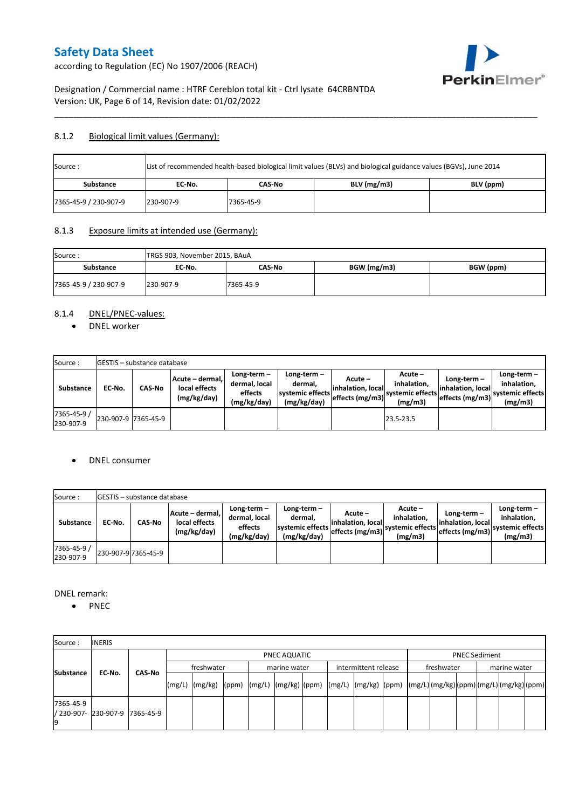according to Regulation (EC) No 1907/2006 (REACH)



## Designation / Commercial name : HTRF Cereblon total kit - Ctrl lysate 64CRBNTDA Version: UK, Page 6 of 14, Revision date: 01/02/2022

### 8.1.2 Biological limit values (Germany):

| List of recommended health-based biological limit values (BLVs) and biological guidance values (BGVs), June 2014<br>Source: |           |           |               |           |  |  |  |  |  |  |
|-----------------------------------------------------------------------------------------------------------------------------|-----------|-----------|---------------|-----------|--|--|--|--|--|--|
| <b>Substance</b>                                                                                                            | EC No.    | CAS-No    | $BLV$ (mg/m3) | BLV (ppm) |  |  |  |  |  |  |
| 7365-45-9 / 230-907-9                                                                                                       | 230-907-9 | 7365-45-9 |               |           |  |  |  |  |  |  |

\_\_\_\_\_\_\_\_\_\_\_\_\_\_\_\_\_\_\_\_\_\_\_\_\_\_\_\_\_\_\_\_\_\_\_\_\_\_\_\_\_\_\_\_\_\_\_\_\_\_\_\_\_\_\_\_\_\_\_\_\_\_\_\_\_\_\_\_\_\_\_\_\_\_\_\_\_\_\_\_\_\_\_\_\_\_\_\_\_\_\_\_\_\_\_\_\_\_\_\_\_

### 8.1.3 Exposure limits at intended use (Germany):

| Source:<br>TRGS 903, November 2015, BAuA<br>BGW (mg/m3)<br>BGW (ppm)<br>Substance<br>CAS-No<br>EC No. |           |           |  |  |  |  |
|-------------------------------------------------------------------------------------------------------|-----------|-----------|--|--|--|--|
|                                                                                                       |           |           |  |  |  |  |
| 7365-45-9 / 230-907-9                                                                                 | 230-907-9 | 7365-45-9 |  |  |  |  |

## 8.1.4 DNEL/PNEC-values:

• DNEL worker

| Source:                  |                     | <b>GESTIS</b> – substance database |                                                 |                                                       |                                                             |                                                  |                                                       |                                                        |                                                             |
|--------------------------|---------------------|------------------------------------|-------------------------------------------------|-------------------------------------------------------|-------------------------------------------------------------|--------------------------------------------------|-------------------------------------------------------|--------------------------------------------------------|-------------------------------------------------------------|
| Substance                | EC-No.              | <b>CAS-No</b>                      | Acute - dermal.<br>local effects<br>(mg/kg/day) | Long-term-<br>dermal, local<br>effects<br>(mg/kg/day) | $Long-term -$<br>dermal.<br>systemic effects<br>(mg/kg/day) | Acute –<br>linhalation. local<br>effects (mg/m3) | Acute -<br>inhalation.<br>systemic effects<br>(mg/m3) | Long-term –<br>linhalation. local<br>effects $(mg/m3)$ | $Long-term -$<br>inhalation.<br>svstemic effects<br>(mg/m3) |
| 7365-45-9 /<br>230-907-9 | 230-907-9 7365-45-9 |                                    |                                                 |                                                       |                                                             |                                                  | 23.5-23.5                                             |                                                        |                                                             |

### DNEL consumer

| Source:                  |        | <b>IGESTIS – substance database</b> |                                                 |                                                          |                                                          |                                                  |                                                       |                                                        |                                                             |
|--------------------------|--------|-------------------------------------|-------------------------------------------------|----------------------------------------------------------|----------------------------------------------------------|--------------------------------------------------|-------------------------------------------------------|--------------------------------------------------------|-------------------------------------------------------------|
| Substance                | EC No. | CAS No                              | Acute - dermal.<br>local effects<br>(mg/kg/day) | Long-term $-$<br>dermal, local<br>effects<br>(mg/kg/day) | Long-term-<br>dermal,<br>systemic effects<br>(mg/kg/day) | Acute –<br>linhalation. local<br>effects (mg/m3) | Acute -<br>inhalation.<br>systemic effects<br>(mg/m3) | $Long-term -$<br>linhalation. local<br>effects (mg/m3) | Long-term $-$<br>inhalation.<br>svstemic effects<br>(mg/m3) |
| 7365-45-9 /<br>230-907-9 |        | 230-907-9 7365-45-9                 |                                                 |                                                          |                                                          |                                                  |                                                       |                                                        |                                                             |

DNEL remark:

• PNEC

| Source:          | <b>INERIS</b>                  |  |                                                                                                                    |  |  |                                      |  |  |            |  |  |  |                      |  |  |
|------------------|--------------------------------|--|--------------------------------------------------------------------------------------------------------------------|--|--|--------------------------------------|--|--|------------|--|--|--|----------------------|--|--|
|                  |                                |  |                                                                                                                    |  |  | PNEC AQUATIC                         |  |  |            |  |  |  | <b>PNEC Sediment</b> |  |  |
|                  | EC-No.<br><b>CAS No</b>        |  | freshwater                                                                                                         |  |  | intermittent release<br>marine water |  |  | freshwater |  |  |  | marine water         |  |  |
| <b>Substance</b> |                                |  | [(mg/L)  (mg/kg)  (ppm)  (mg/L)  (mg/kg)  (ppm)  (mg/L)  (mg/kg)  (ppm)  (mg/L) (mg/kg) (ppm) (mg/L) (mg/kg) (ppm) |  |  |                                      |  |  |            |  |  |  |                      |  |  |
| 7365-45-9        | / 230-907- 230-907-9 7365-45-9 |  |                                                                                                                    |  |  |                                      |  |  |            |  |  |  |                      |  |  |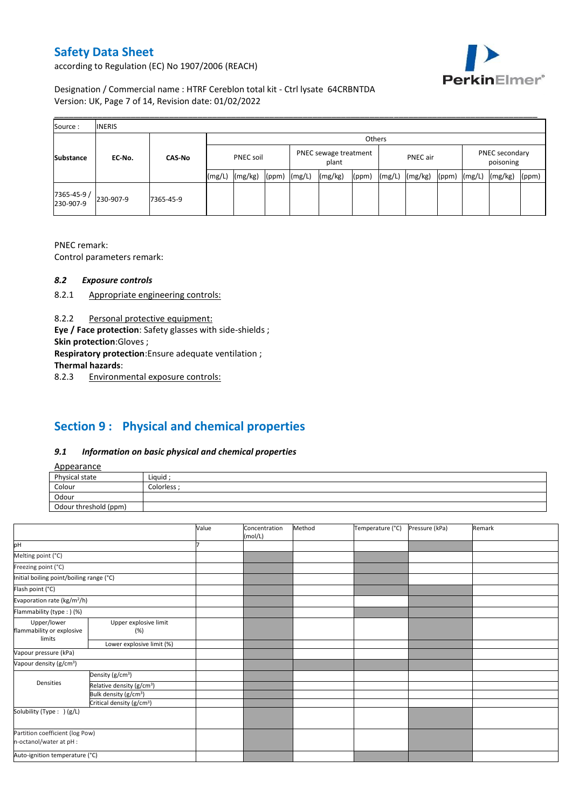according to Regulation (EC) No 1907/2006 (REACH)



Designation / Commercial name : HTRF Cereblon total kit - Ctrl lysate 64CRBNTDA Version: UK, Page 7 of 14, Revision date: 01/02/2022

| Source:                  | <b>INERIS</b> |               |        |                  |       |        |                                |        |          |         |       |                             |         |       |
|--------------------------|---------------|---------------|--------|------------------|-------|--------|--------------------------------|--------|----------|---------|-------|-----------------------------|---------|-------|
|                          |               |               |        |                  |       |        |                                | Others |          |         |       |                             |         |       |
| <b>Substance</b>         | EC-No.        | <b>CAS-No</b> |        | <b>PNEC soil</b> |       |        | PNEC sewage treatment<br>plant |        | PNEC air |         |       | PNEC secondary<br>poisoning |         |       |
|                          |               |               | (mg/L) | (mg/kg)          | (ppm) | (mg/L) | (mg/kg)                        | (ppm)  | (mg/L)   | (mg/kg) | (ppm) | (mg/L)                      | (mg/kg) | (ppm) |
| 7365-45-9 /<br>230-907-9 | 230-907-9     | 7365-45-9     |        |                  |       |        |                                |        |          |         |       |                             |         |       |

PNEC remark:

Control parameters remark:

#### *8.2 Exposure controls*

- 8.2.1 Appropriate engineering controls:
- 8.2.2 Personal protective equipment:

**Eye / Face protection**: Safety glasses with side-shields ;

**Skin protection**:Gloves ;

**Respiratory protection**:Ensure adequate ventilation ;

**Thermal hazards**:

8.2.3 Environmental exposure controls:

# **Section 9 : Physical and chemical properties**

### *9.1 Information on basic physical and chemical properties*

|--|

| <b>Appearance</b>                                      |            |
|--------------------------------------------------------|------------|
| Physical state                                         | Liquid     |
| Colour<br>the control of the control of the control of | Colorless: |
| Odour                                                  |            |
| Odour threshold (ppm)                                  |            |

|                                          |                                       | Value | Concentration<br>(mol/L) | Method | Temperature (°C) | Pressure (kPa) | Remark |
|------------------------------------------|---------------------------------------|-------|--------------------------|--------|------------------|----------------|--------|
| pH                                       |                                       |       |                          |        |                  |                |        |
| Melting point (°C)                       |                                       |       |                          |        |                  |                |        |
| Freezing point (°C)                      |                                       |       |                          |        |                  |                |        |
| Initial boiling point/boiling range (°C) |                                       |       |                          |        |                  |                |        |
| Flash point (°C)                         |                                       |       |                          |        |                  |                |        |
| Evaporation rate (kg/m <sup>2</sup> /h)  |                                       |       |                          |        |                  |                |        |
| Flammability (type:) (%)                 |                                       |       |                          |        |                  |                |        |
| Upper/lower<br>flammability or explosive | Upper explosive limit<br>(%)          |       |                          |        |                  |                |        |
| limits                                   | Lower explosive limit (%)             |       |                          |        |                  |                |        |
| Vapour pressure (kPa)                    |                                       |       |                          |        |                  |                |        |
| Vapour density (g/cm <sup>3</sup> )      |                                       |       |                          |        |                  |                |        |
|                                          | Density (g/cm <sup>3</sup> )          |       |                          |        |                  |                |        |
| Densities                                | Relative density (g/cm <sup>3</sup> ) |       |                          |        |                  |                |        |
|                                          | Bulk density (g/cm <sup>3</sup> )     |       |                          |        |                  |                |        |
|                                          | Critical density (g/cm <sup>3</sup> ) |       |                          |        |                  |                |        |
| Solubility (Type: ) (g/L)                |                                       |       |                          |        |                  |                |        |
| n-octanol/water at pH :                  | Partition coefficient (log Pow)       |       |                          |        |                  |                |        |
| Auto-ignition temperature (°C)           |                                       |       |                          |        |                  |                |        |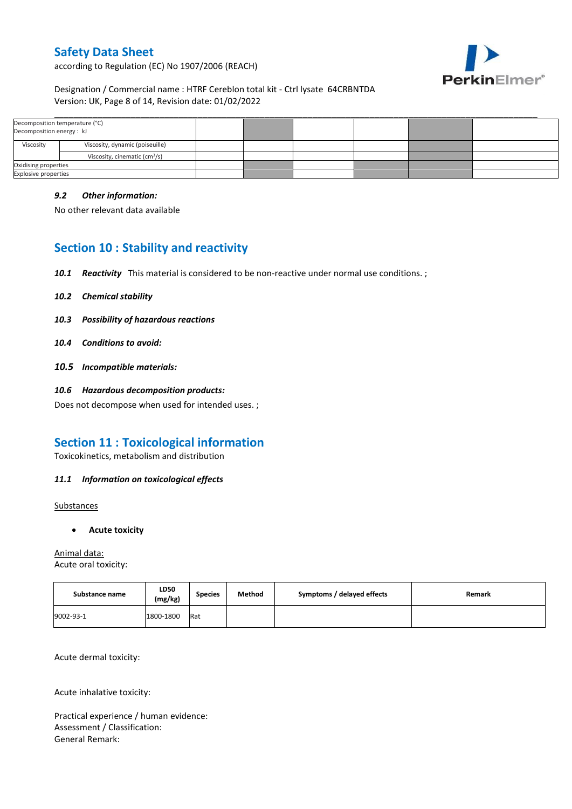according to Regulation (EC) No 1907/2006 (REACH)



### Designation / Commercial name : HTRF Cereblon total kit - Ctrl lysate 64CRBNTDA Version: UK, Page 8 of 14, Revision date: 01/02/2022

| Decomposition temperature (°C)<br>Decomposition energy : kJ |                                           |  |  |  |
|-------------------------------------------------------------|-------------------------------------------|--|--|--|
| Viscosity                                                   | Viscosity, dynamic (poiseuille)           |  |  |  |
|                                                             | Viscosity, cinematic (cm <sup>3</sup> /s) |  |  |  |
| Oxidising properties                                        |                                           |  |  |  |
| <b>Explosive properties</b>                                 |                                           |  |  |  |

### *9.2 Other information:*

No other relevant data available

# **Section 10 : Stability and reactivity**

- *10.1 Reactivity* This material is considered to be non-reactive under normal use conditions. ;
- *10.2 Chemical stability*
- *10.3 Possibility of hazardous reactions*
- *10.4 Conditions to avoid:*
- *10.5 Incompatible materials:*
- *10.6 Hazardous decomposition products:*

Does not decompose when used for intended uses. ;

## **Section 11 : Toxicological information**

Toxicokinetics, metabolism and distribution

#### *11.1 Information on toxicological effects*

**Substances** 

**Acute toxicity**

Animal data: Acute oral toxicity:

| Substance name | LD50<br>(mg/kg) | <b>Species</b> | Method | Symptoms / delayed effects | Remark |
|----------------|-----------------|----------------|--------|----------------------------|--------|
| 9002-93-1      | 1800-1800       | Rat            |        |                            |        |

Acute dermal toxicity:

Acute inhalative toxicity:

Practical experience / human evidence: Assessment / Classification: General Remark: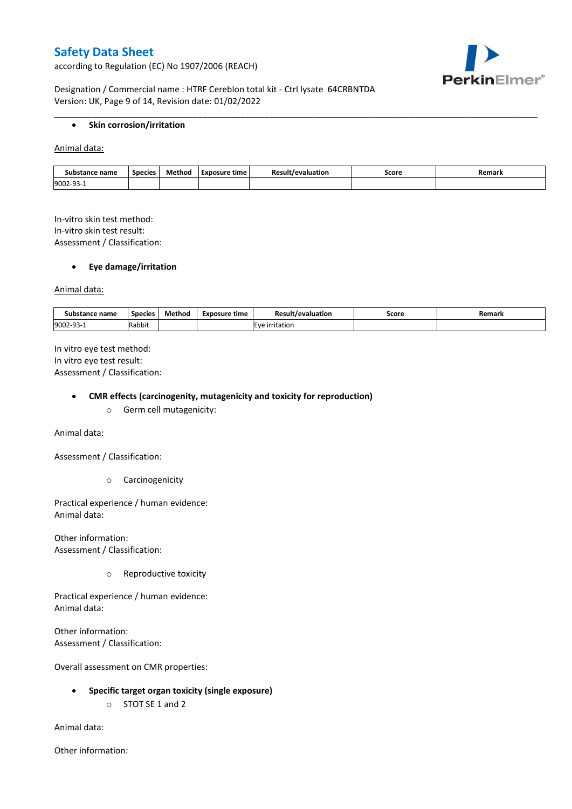according to Regulation (EC) No 1907/2006 (REACH)



Designation / Commercial name : HTRF Cereblon total kit - Ctrl lysate 64CRBNTDA Version: UK, Page 9 of 14, Revision date: 01/02/2022

#### **•** Skin corrosion/irritation

Animal data:

| Substance name | Species | Method | Exposure time | /evaluation | Score | Remark |
|----------------|---------|--------|---------------|-------------|-------|--------|
| 9002-93-1      |         |        |               |             |       |        |

\_\_\_\_\_\_\_\_\_\_\_\_\_\_\_\_\_\_\_\_\_\_\_\_\_\_\_\_\_\_\_\_\_\_\_\_\_\_\_\_\_\_\_\_\_\_\_\_\_\_\_\_\_\_\_\_\_\_\_\_\_\_\_\_\_\_\_\_\_\_\_\_\_\_\_\_\_\_\_\_\_\_\_\_\_\_\_\_\_\_\_\_\_\_\_\_\_\_\_\_\_

In-vitro skin test method: In-vitro skin test result: Assessment / Classification:

#### **Eye damage/irritation**

Animal data:

| : name<br>substance | <b>Species</b> | $ -$<br>Method | <b>Exposure time</b> | Result/evaluation | Score | Remark |
|---------------------|----------------|----------------|----------------------|-------------------|-------|--------|
| 9002-93-1           | .<br>Rabbit    |                |                      | irritation        |       |        |

In vitro eye test method: In vitro eye test result: Assessment / Classification:

#### **CMR effects (carcinogenity, mutagenicity and toxicity for reproduction)**

o Germ cell mutagenicity:

Animal data:

Assessment / Classification:

o Carcinogenicity

Practical experience / human evidence: Animal data:

Other information: Assessment / Classification:

o Reproductive toxicity

Practical experience / human evidence: Animal data:

Other information: Assessment / Classification:

Overall assessment on CMR properties:

- **Specific target organ toxicity (single exposure)**
	- o STOT SE 1 and 2

Animal data:

Other information: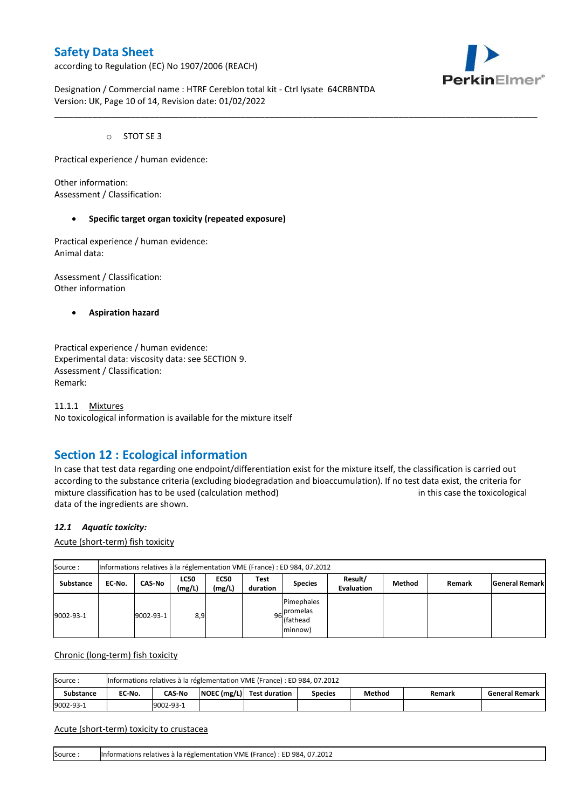according to Regulation (EC) No 1907/2006 (REACH)



Designation / Commercial name : HTRF Cereblon total kit - Ctrl lysate 64CRBNTDA Version: UK, Page 10 of 14, Revision date: 01/02/2022

o STOT SE 3

Practical experience / human evidence:

Other information: Assessment / Classification:

#### **Specific target organ toxicity (repeated exposure)**

Practical experience / human evidence: Animal data:

Assessment / Classification: Other information

**Aspiration hazard**

Practical experience / human evidence: Experimental data: viscosity data: see SECTION 9. Assessment / Classification: Remark:

11.1.1 Mixtures No toxicological information is available for the mixture itself

## **Section 12 : Ecological information**

In case that test data regarding one endpoint/differentiation exist for the mixture itself, the classification is carried out according to the substance criteria (excluding biodegradation and bioaccumulation). If no test data exist, the criteria for mixture classification has to be used (calculation method) in this case the toxicological data of the ingredients are shown.

\_\_\_\_\_\_\_\_\_\_\_\_\_\_\_\_\_\_\_\_\_\_\_\_\_\_\_\_\_\_\_\_\_\_\_\_\_\_\_\_\_\_\_\_\_\_\_\_\_\_\_\_\_\_\_\_\_\_\_\_\_\_\_\_\_\_\_\_\_\_\_\_\_\_\_\_\_\_\_\_\_\_\_\_\_\_\_\_\_\_\_\_\_\_\_\_\_\_\_\_\_

#### *12.1 Aquatic toxicity:*

Acute (short-term) fish toxicity

| Source:          | Informations relatives à la réglementation VME (France) : ED 984, 07.2012 |               |                       |                       |                  |                                                  |                              |        |        |                       |  |  |  |
|------------------|---------------------------------------------------------------------------|---------------|-----------------------|-----------------------|------------------|--------------------------------------------------|------------------------------|--------|--------|-----------------------|--|--|--|
| <b>Substance</b> | EC No.                                                                    | <b>CAS-No</b> | <b>LC50</b><br>(mg/L) | <b>EC50</b><br>(mg/L) | Test<br>duration | <b>Species</b>                                   | Result/<br><b>Evaluation</b> | Method | Remark | <b>General Remark</b> |  |  |  |
| 9002-93-1        |                                                                           | 9002-93-1     | 8,9                   |                       |                  | Pimephales<br>96 promelas<br>(fathead<br>minnow) |                              |        |        |                       |  |  |  |

Chronic (long-term) fish toxicity

| Source:          | Informations relatives à la réglementation VME (France) : ED 984, 07.2012 |                                                                                                    |  |  |  |  |  |  |  |  |  |  |
|------------------|---------------------------------------------------------------------------|----------------------------------------------------------------------------------------------------|--|--|--|--|--|--|--|--|--|--|
| <b>Substance</b> | EC No.                                                                    | NOEC (mg/L) Test duration<br>Method<br><b>CAS-No</b><br><b>General Remark</b><br>Species<br>Remark |  |  |  |  |  |  |  |  |  |  |
| 9002-93-1        |                                                                           | 9002-93-1                                                                                          |  |  |  |  |  |  |  |  |  |  |

#### Acute (short-term) toxicity to crustacea

Source : Informations relatives à la réglementation VME (France) : ED 984, 07.2012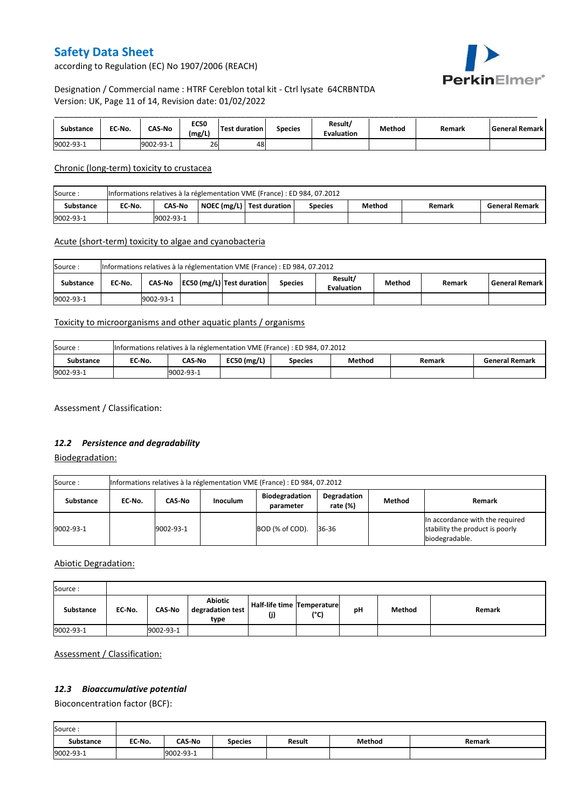PerkinElmer®

according to Regulation (EC) No 1907/2006 (REACH)

## Designation / Commercial name : HTRF Cereblon total kit - Ctrl lysate 64CRBNTDA Version: UK, Page 11 of 14, Revision date: 01/02/2022

| Substance | EC-No. | <b>CAS-No</b> | <b>EC50</b><br>(mg/L) | <b>Test duration</b> | <b>Species</b> | Result/<br><b>Evaluation</b> | Method | Remark | l General Remark l |
|-----------|--------|---------------|-----------------------|----------------------|----------------|------------------------------|--------|--------|--------------------|
| 9002-93-1 |        | 9002-93-1     | 26                    | 48                   |                |                              |        |        |                    |

Chronic (long-term) toxicity to crustacea

| Source:          | Informations relatives à la réglementation VME (France) : ED 984, 07.2012 |                                                                                                             |  |  |  |  |  |  |  |  |  |  |
|------------------|---------------------------------------------------------------------------|-------------------------------------------------------------------------------------------------------------|--|--|--|--|--|--|--|--|--|--|
| <b>Substance</b> | EC-No.                                                                    | NOEC (mg/L)   Test duration<br><b>CAS No</b><br>Method<br><b>General Remark</b><br><b>Species</b><br>Remark |  |  |  |  |  |  |  |  |  |  |
| 9002-93-1        |                                                                           | 9002-93-1                                                                                                   |  |  |  |  |  |  |  |  |  |  |

### Acute (short-term) toxicity to algae and cyanobacteria

| Source:<br>Informations relatives à la réglementation VME (France) : ED 984, 07.2012 |                                                                                                                                              |           |  |  |  |  |  |  |  |  |  |
|--------------------------------------------------------------------------------------|----------------------------------------------------------------------------------------------------------------------------------------------|-----------|--|--|--|--|--|--|--|--|--|
| Substance                                                                            | Result/<br>EC50 (mg/L) Test duration<br><b>General Remark</b><br>CAS-No<br>Method<br>EC No.<br><b>Species</b><br>Remark<br><b>Evaluation</b> |           |  |  |  |  |  |  |  |  |  |
| 9002-93-1                                                                            |                                                                                                                                              | 9002-93-1 |  |  |  |  |  |  |  |  |  |

## Toxicity to microorganisms and other aquatic plants / organisms

| Source:   | Informations relatives à la réglementation VME (France) : ED 984, 07.2012 |           |               |                |        |        |                       |  |
|-----------|---------------------------------------------------------------------------|-----------|---------------|----------------|--------|--------|-----------------------|--|
| Substance | EC-No.                                                                    | CAS-No    | $EC50$ (mg/L) | <b>Species</b> | Method | Remark | <b>General Remark</b> |  |
| 9002-93-1 |                                                                           | 9002-93-1 |               |                |        |        |                       |  |

Assessment / Classification:

### *12.2 Persistence and degradability*

Biodegradation:

| Source:   | Informations relatives à la réglementation VME (France) : ED 984, 07.2012 |           |                 |                                    |                            |               |                                                                                      |  |  |
|-----------|---------------------------------------------------------------------------|-----------|-----------------|------------------------------------|----------------------------|---------------|--------------------------------------------------------------------------------------|--|--|
| Substance | EC No.                                                                    | CAS-No    | <b>Inoculum</b> | <b>Biodegradation</b><br>parameter | Degradation<br>rate $(\%)$ | <b>Method</b> | Remark                                                                               |  |  |
| 9002-93-1 |                                                                           | 9002-93-1 |                 | BOD (% of COD).                    | 36-36                      |               | In accordance with the required<br>stability the product is poorly<br>biodegradable. |  |  |

Abiotic Degradation:

| Source:   |        |               |                                            |                                       |      |    |        |        |
|-----------|--------|---------------|--------------------------------------------|---------------------------------------|------|----|--------|--------|
| Substance | EC-No. | <b>CAS-No</b> | <b>Abiotic</b><br>degradation test<br>type | Half-life time   Temperature  <br>(j) | (°C) | рH | Method | Remark |
| 9002-93-1 |        | 9002-93-1     |                                            |                                       |      |    |        |        |

Assessment / Classification:

## *12.3 Bioaccumulative potential*

Bioconcentration factor (BCF):

| Source:          |        |               |                |        |        |        |
|------------------|--------|---------------|----------------|--------|--------|--------|
| <b>Substance</b> | EC-No. | <b>CAS-No</b> | <b>Species</b> | Result | Method | Remark |
| 9002-93-1        |        | 9002-93-1     |                |        |        |        |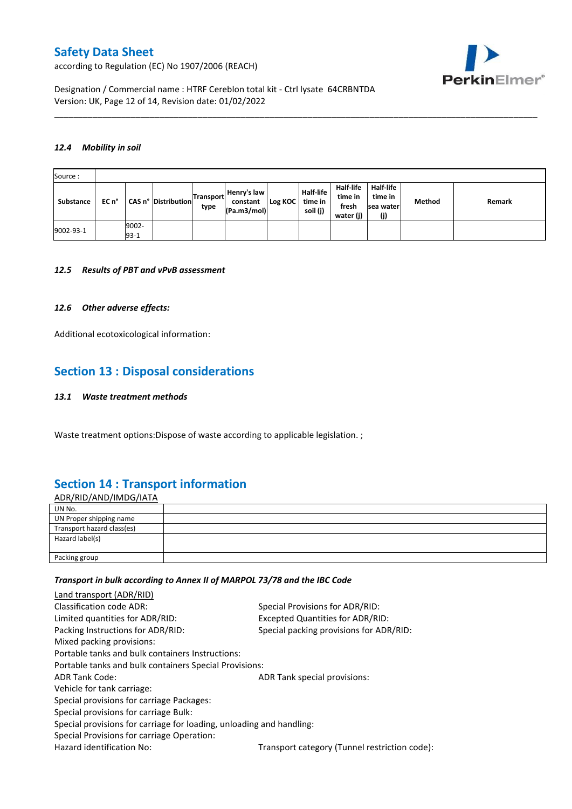according to Regulation (EC) No 1907/2006 (REACH)



Designation / Commercial name : HTRF Cereblon total kit - Ctrl lysate 64CRBNTDA Version: UK, Page 12 of 14, Revision date: 01/02/2022

#### *12.4 Mobility in soil*

| Source:   |       |                 |                     |                          |                                        |         |                                         |                                            |                                          |        |        |
|-----------|-------|-----------------|---------------------|--------------------------|----------------------------------------|---------|-----------------------------------------|--------------------------------------------|------------------------------------------|--------|--------|
| Substance | EC n° |                 | CAS n° Distribution | <b>Transport</b><br>type | Henry's law<br>constant<br>(Pa.m3/mol) | Log KOC | <b>Half-life</b><br>time in<br>soil (j) | Half-life<br>time in<br>fresh<br>water (j) | Half-life<br>time in<br>sea water<br>(j) | Method | Remark |
| 9002-93-1 |       | 9002-<br>$93-1$ |                     |                          |                                        |         |                                         |                                            |                                          |        |        |

\_\_\_\_\_\_\_\_\_\_\_\_\_\_\_\_\_\_\_\_\_\_\_\_\_\_\_\_\_\_\_\_\_\_\_\_\_\_\_\_\_\_\_\_\_\_\_\_\_\_\_\_\_\_\_\_\_\_\_\_\_\_\_\_\_\_\_\_\_\_\_\_\_\_\_\_\_\_\_\_\_\_\_\_\_\_\_\_\_\_\_\_\_\_\_\_\_\_\_\_\_

#### *12.5 Results of PBT and vPvB assessment*

#### *12.6 Other adverse effects:*

Additional ecotoxicological information:

## **Section 13 : Disposal considerations**

#### *13.1 Waste treatment methods*

Waste treatment options:Dispose of waste according to applicable legislation. ;

## **Section 14 : Transport information**

ADR/RID/AND/IMDG/IATA UN No. UN Proper shipping name Transport hazard class(es) Hazard label(s) Packing group

#### *Transport in bulk according to Annex II of MARPOL 73/78 and the IBC Code*

| Land transport (ADR/RID)                                             |                                               |
|----------------------------------------------------------------------|-----------------------------------------------|
| Classification code ADR:                                             | Special Provisions for ADR/RID:               |
| Limited quantities for ADR/RID:                                      | Excepted Quantities for ADR/RID:              |
| Packing Instructions for ADR/RID:                                    | Special packing provisions for ADR/RID:       |
| Mixed packing provisions:                                            |                                               |
| Portable tanks and bulk containers Instructions:                     |                                               |
| Portable tanks and bulk containers Special Provisions:               |                                               |
| <b>ADR Tank Code:</b>                                                | ADR Tank special provisions:                  |
| Vehicle for tank carriage:                                           |                                               |
| Special provisions for carriage Packages:                            |                                               |
| Special provisions for carriage Bulk:                                |                                               |
| Special provisions for carriage for loading, unloading and handling: |                                               |
| Special Provisions for carriage Operation:                           |                                               |
| Hazard identification No:                                            | Transport category (Tunnel restriction code): |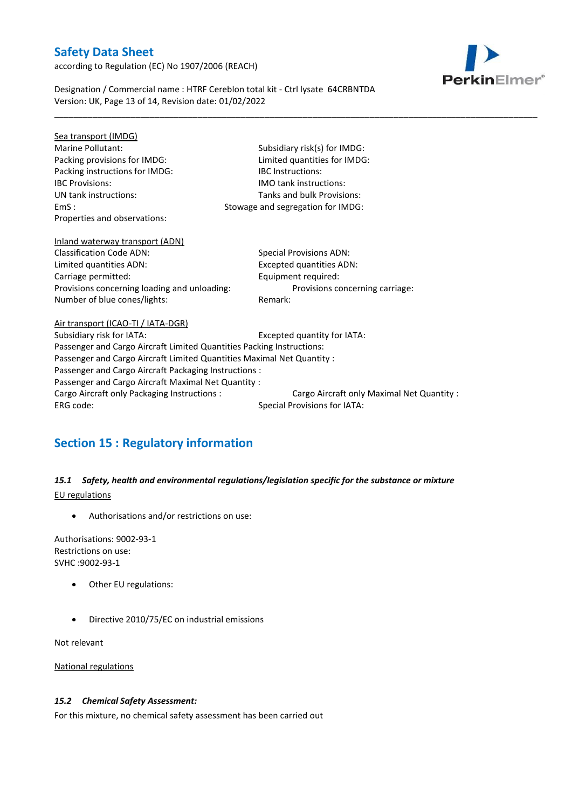according to Regulation (EC) No 1907/2006 (REACH)



Designation / Commercial name : HTRF Cereblon total kit - Ctrl lysate 64CRBNTDA Version: UK, Page 13 of 14, Revision date: 01/02/2022

| Sea transport (IMDG)                                                   |                                            |
|------------------------------------------------------------------------|--------------------------------------------|
| Marine Pollutant:                                                      | Subsidiary risk(s) for IMDG:               |
| Packing provisions for IMDG:                                           | Limited quantities for IMDG:               |
| Packing instructions for IMDG:                                         | <b>IBC</b> Instructions:                   |
| <b>IBC Provisions:</b>                                                 | <b>IMO tank instructions:</b>              |
| UN tank instructions:                                                  | Tanks and bulk Provisions:                 |
| EmS:                                                                   | Stowage and segregation for IMDG:          |
| Properties and observations:                                           |                                            |
| Inland waterway transport (ADN)                                        |                                            |
| <b>Classification Code ADN:</b>                                        | <b>Special Provisions ADN:</b>             |
| Limited quantities ADN:                                                | Excepted quantities ADN:                   |
| Carriage permitted:                                                    | Equipment required:                        |
| Provisions concerning loading and unloading:                           | Provisions concerning carriage:            |
| Number of blue cones/lights:                                           | Remark:                                    |
| Air transport (ICAO-TI / IATA-DGR)                                     |                                            |
| Subsidiary risk for IATA:                                              | Excepted quantity for IATA:                |
| Passenger and Cargo Aircraft Limited Quantities Packing Instructions:  |                                            |
| Passenger and Cargo Aircraft Limited Quantities Maximal Net Quantity : |                                            |
| Passenger and Cargo Aircraft Packaging Instructions :                  |                                            |
| Passenger and Cargo Aircraft Maximal Net Quantity :                    |                                            |
| Cargo Aircraft only Packaging Instructions :                           | Cargo Aircraft only Maximal Net Quantity : |
| ERG code:                                                              | <b>Special Provisions for IATA:</b>        |
|                                                                        |                                            |

\_\_\_\_\_\_\_\_\_\_\_\_\_\_\_\_\_\_\_\_\_\_\_\_\_\_\_\_\_\_\_\_\_\_\_\_\_\_\_\_\_\_\_\_\_\_\_\_\_\_\_\_\_\_\_\_\_\_\_\_\_\_\_\_\_\_\_\_\_\_\_\_\_\_\_\_\_\_\_\_\_\_\_\_\_\_\_\_\_\_\_\_\_\_\_\_\_\_\_\_\_

# **Section 15 : Regulatory information**

## *15.1 Safety, health and environmental regulations/legislation specific for the substance or mixture* EU regulations

Authorisations and/or restrictions on use:

Authorisations: 9002-93-1 Restrictions on use: SVHC :9002-93-1

- Other EU regulations:
- Directive 2010/75/EC on industrial emissions

Not relevant

National regulations

### *15.2 Chemical Safety Assessment:*

For this mixture, no chemical safety assessment has been carried out